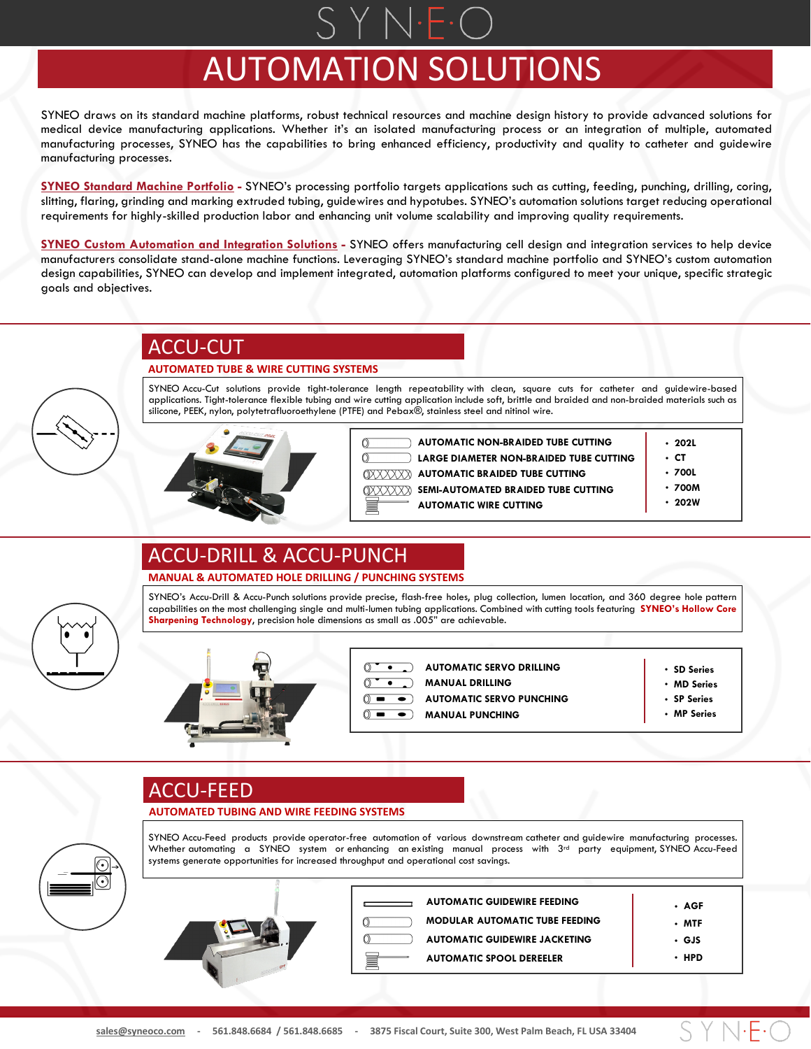# AUTOMATION SOLUTIONS

SYNEO draws on its standard machine platforms, robust technical resources and machine design history to provide advanced solutions for medical device manufacturing applications. Whether it's an isolated manufacturing process or an integration of multiple, automated manufacturing processes, SYNEO has the capabilities to bring enhanced efficiency, productivity and quality to catheter and guidewire manufacturing processes.

**SYNEO Standard Machine Portfolio -** SYNEO's processing portfolio targets applications such as cutting, feeding, punching, drilling, coring, slitting, flaring, grinding and marking extruded tubing, guidewires and hypotubes. SYNEO's automation solutions target reducing operational requirements for highly-skilled production labor and enhancing unit volume scalability and improving quality requirements.

**SYNEO Custom Automation and Integration Solutions -** SYNEO offers manufacturing cell design and integration services to help device manufacturers consolidate stand-alone machine functions. Leveraging SYNEO's standard machine portfolio and SYNEO's custom automation design capabilities, SYNEO can develop and implement integrated, automation platforms configured to meet your unique, specific strategic goals and objectives.

### ACCU-CUT

#### **AUTOMATED TUBE & WIRE CUTTING SYSTEMS**

SYNEO Accu-Cut solutions provide tight-tolerance length repeatability with clean, square cuts for catheter and guidewire-based applications. Tight-tolerance flexible tubing and wire cutting application include soft, brittle and braided and non-braided materials such as silicone, PEEK, nylon, polytetrafluoroethylene (PTFE) and Pebax®, stainless steel and nitinol wire.



**AUTOMATIC NON-BRAIDED TUBE CUTTING LARGE DIAMETER NON-BRAIDED TUBE CUTTING AUTOMATIC BRAIDED TUBE CUTTING** XXXXXX *RXXXXX* **SEMI-AUTOMATED BRAIDED TUBE CUTTING AUTOMATIC WIRE CUTTING**

- **202L** • **CT**
- **700L**
- **700M**
- **202W**

### ACCU-DRILL & ACCU-PUNCH

#### **MANUAL & AUTOMATED HOLE DRILLING / PUNCHING SYSTEMS**

SYNEO's Accu-Drill & Accu-Punch solutions provide precise, flash-free holes, plug collection, lumen location, and 360 degree hole pattern capabilities on the most challenging single and multi-lumen tubing applications. Combined with cutting tools featuring **SYNEO's Hollow Core Sharpening Technology**, precision hole dimensions as small as .005" are achievable.

SYNEO Accu-Feed products provide operator-free automation of various downstream catheter and guidewire manufacturing processes. Whether automating a SYNEO system or enhancing an existing manual process with  $3<sup>rd</sup>$  party equipment, SYNEO Accu-Feed



**AUTOMATIC SERVO DRILLING**

- **MANUAL DRILLING**
- **AUTOMATIC SERVO PUNCHING**
- **MANUAL PUNCHING**  $\overline{\bullet}$
- **SD Series** • **MD Series**
- **SP Series**
- **MP Series**

S Y N·F·

### ACCU-FEED

#### **AUTOMATED TUBING AND WIRE FEEDING SYSTEMS**

systems generate opportunities for increased throughput and operational cost savings.



| <b>AUTOMATIC GUIDEWIRE FEEDING</b>    | • AGF      |
|---------------------------------------|------------|
| <b>MODULAR AUTOMATIC TUBE FEEDING</b> | • MTF      |
| <b>AUTOMATIC GUIDEWIRE JACKETING</b>  | • GJS      |
| <b>AUTOMATIC SPOOL DEREELER</b>       | <b>HPD</b> |